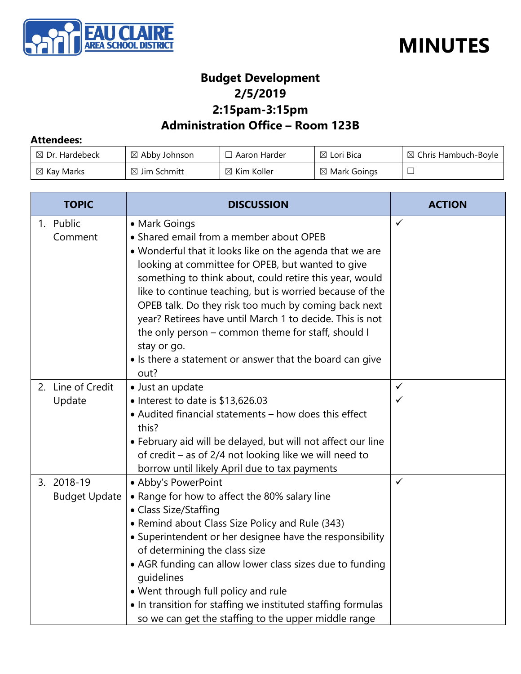



### **Budget Development 2/5/2019 2:15pam-3:15pm**

## **Administration Office – Room 123B**

#### **Attendees:**

| $\boxtimes$ Dr. Hardebeck | $\boxtimes$ Abby Johnson | . Aaron Harder         | ⊠ Lori Bica             | $\boxtimes$ Chris Hambuch-Boyle |
|---------------------------|--------------------------|------------------------|-------------------------|---------------------------------|
| $\boxtimes$ Kay Marks     | $\boxtimes$ Jim Schmitt  | $\boxtimes$ Kim Koller | $\boxtimes$ Mark Goings |                                 |

| <b>TOPIC</b>                       | <b>DISCUSSION</b>                                                                                                                                                                                                                                                                                                                                                                                                                                                                                                                                             | <b>ACTION</b>                |
|------------------------------------|---------------------------------------------------------------------------------------------------------------------------------------------------------------------------------------------------------------------------------------------------------------------------------------------------------------------------------------------------------------------------------------------------------------------------------------------------------------------------------------------------------------------------------------------------------------|------------------------------|
| 1. Public<br>Comment               | • Mark Goings<br>• Shared email from a member about OPEB<br>• Wonderful that it looks like on the agenda that we are<br>looking at committee for OPEB, but wanted to give<br>something to think about, could retire this year, would<br>like to continue teaching, but is worried because of the<br>OPEB talk. Do they risk too much by coming back next<br>year? Retirees have until March 1 to decide. This is not<br>the only person - common theme for staff, should I<br>stay or go.<br>• Is there a statement or answer that the board can give<br>out? | $\checkmark$                 |
| 2. Line of Credit<br>Update        | · Just an update<br>• Interest to date is \$13,626.03<br>• Audited financial statements - how does this effect<br>this?<br>• February aid will be delayed, but will not affect our line<br>of credit - as of 2/4 not looking like we will need to<br>borrow until likely April due to tax payments                                                                                                                                                                                                                                                            | $\checkmark$<br>$\checkmark$ |
| 3. 2018-19<br><b>Budget Update</b> | • Abby's PowerPoint<br>• Range for how to affect the 80% salary line<br>• Class Size/Staffing<br>• Remind about Class Size Policy and Rule (343)<br>• Superintendent or her designee have the responsibility<br>of determining the class size<br>• AGR funding can allow lower class sizes due to funding<br>quidelines<br>. Went through full policy and rule<br>. In transition for staffing we instituted staffing formulas<br>so we can get the staffing to the upper middle range                                                                        | $\checkmark$                 |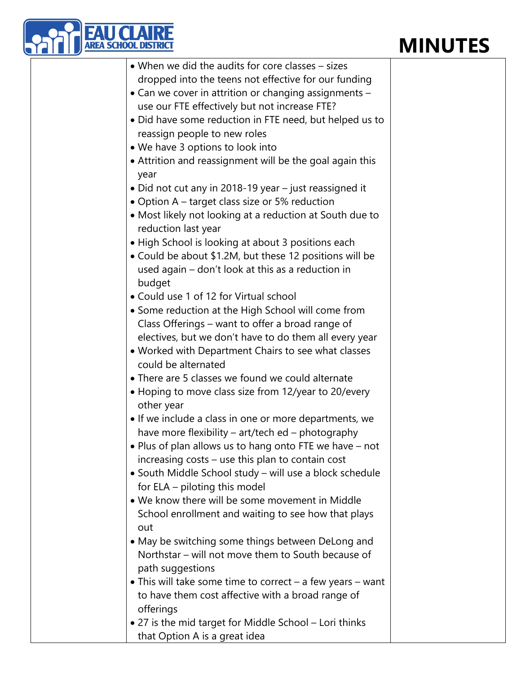# **MINUTES**



| • When we did the audits for core classes - sizes                               |  |
|---------------------------------------------------------------------------------|--|
| dropped into the teens not effective for our funding                            |  |
| • Can we cover in attrition or changing assignments -                           |  |
| use our FTE effectively but not increase FTE?                                   |  |
| • Did have some reduction in FTE need, but helped us to                         |  |
| reassign people to new roles                                                    |  |
| • We have 3 options to look into                                                |  |
| • Attrition and reassignment will be the goal again this<br>year                |  |
| • Did not cut any in 2018-19 year - just reassigned it                          |  |
| • Option A – target class size or 5% reduction                                  |  |
| • Most likely not looking at a reduction at South due to<br>reduction last year |  |
| • High School is looking at about 3 positions each                              |  |
| • Could be about \$1.2M, but these 12 positions will be                         |  |
| used again – don't look at this as a reduction in                               |  |
| budget                                                                          |  |
| • Could use 1 of 12 for Virtual school                                          |  |
| • Some reduction at the High School will come from                              |  |
| Class Offerings - want to offer a broad range of                                |  |
| electives, but we don't have to do them all every year                          |  |
| • Worked with Department Chairs to see what classes                             |  |
| could be alternated                                                             |  |
| • There are 5 classes we found we could alternate                               |  |
| • Hoping to move class size from 12/year to 20/every<br>other year              |  |
| • If we include a class in one or more departments, we                          |  |
| have more flexibility – art/tech ed – photography                               |  |
| • Plus of plan allows us to hang onto FTE we have – not                         |  |
| increasing costs – use this plan to contain cost                                |  |
| • South Middle School study – will use a block schedule                         |  |
| for ELA – piloting this model                                                   |  |
| • We know there will be some movement in Middle                                 |  |
| School enrollment and waiting to see how that plays<br>out                      |  |
| • May be switching some things between DeLong and                               |  |
| Northstar – will not move them to South because of                              |  |
| path suggestions                                                                |  |
| • This will take some time to correct $-$ a few years $-$ want                  |  |
| to have them cost affective with a broad range of                               |  |
| offerings                                                                       |  |
| • 27 is the mid target for Middle School – Lori thinks                          |  |
| that Option A is a great idea                                                   |  |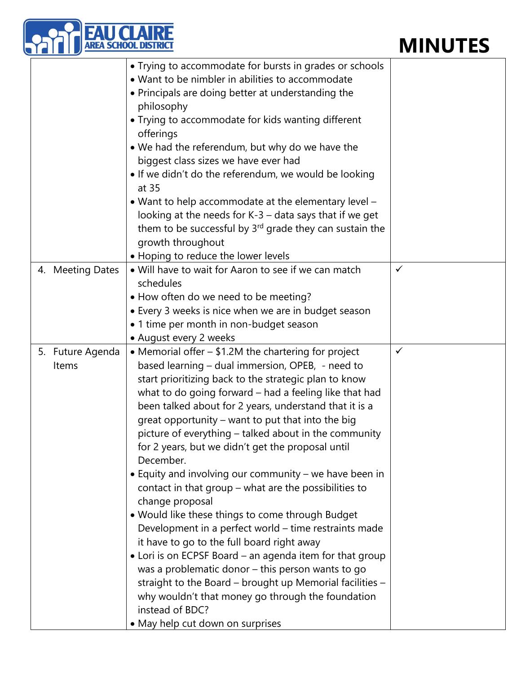## **MINUTES**

|                           | I SCHOOL DIS                                                                                                                                                                                                                                                                                                                                                                                                                                                                                                                                                                                                                                                                                                                                                                                                                                                                                                                                                                                                                                                    | <b>MINUTES</b> |
|---------------------------|-----------------------------------------------------------------------------------------------------------------------------------------------------------------------------------------------------------------------------------------------------------------------------------------------------------------------------------------------------------------------------------------------------------------------------------------------------------------------------------------------------------------------------------------------------------------------------------------------------------------------------------------------------------------------------------------------------------------------------------------------------------------------------------------------------------------------------------------------------------------------------------------------------------------------------------------------------------------------------------------------------------------------------------------------------------------|----------------|
|                           | • Trying to accommodate for bursts in grades or schools<br>• Want to be nimbler in abilities to accommodate<br>• Principals are doing better at understanding the<br>philosophy<br>• Trying to accommodate for kids wanting different<br>offerings<br>• We had the referendum, but why do we have the<br>biggest class sizes we have ever had<br>. If we didn't do the referendum, we would be looking<br>at 35<br>• Want to help accommodate at the elementary level -<br>looking at the needs for K-3 - data says that if we get<br>them to be successful by 3 <sup>rd</sup> grade they can sustain the<br>growth throughout                                                                                                                                                                                                                                                                                                                                                                                                                                  |                |
| 4. Meeting Dates          | • Hoping to reduce the lower levels<br>. Will have to wait for Aaron to see if we can match<br>schedules<br>• How often do we need to be meeting?<br>• Every 3 weeks is nice when we are in budget season<br>• 1 time per month in non-budget season<br>• August every 2 weeks                                                                                                                                                                                                                                                                                                                                                                                                                                                                                                                                                                                                                                                                                                                                                                                  | $\checkmark$   |
| 5. Future Agenda<br>Items | • Memorial offer – \$1.2M the chartering for project<br>based learning - dual immersion, OPEB, - need to<br>start prioritizing back to the strategic plan to know<br>what to do going forward - had a feeling like that had<br>been talked about for 2 years, understand that it is a<br>great opportunity – want to put that into the big<br>picture of everything - talked about in the community<br>for 2 years, but we didn't get the proposal until<br>December.<br>• Equity and involving our community - we have been in<br>contact in that group - what are the possibilities to<br>change proposal<br>. Would like these things to come through Budget<br>Development in a perfect world - time restraints made<br>it have to go to the full board right away<br>• Lori is on ECPSF Board – an agenda item for that group<br>was a problematic donor - this person wants to go<br>straight to the Board - brought up Memorial facilities -<br>why wouldn't that money go through the foundation<br>instead of BDC?<br>• May help cut down on surprises | $\checkmark$   |